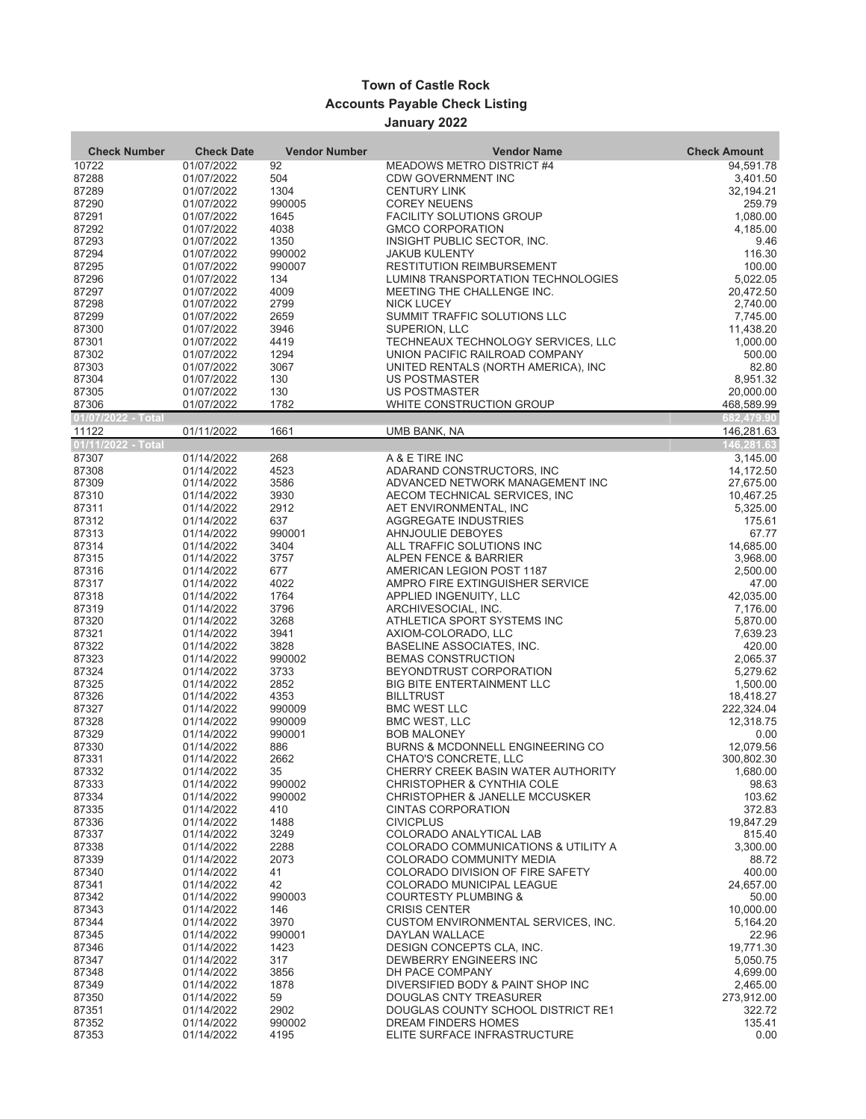## **Town of Castle Rock Accounts Payable Check Listing January 2022**

| <b>Check Number</b>         | <b>Check Date</b>        | <b>Vendor Number</b> | <b>Vendor Name</b>                                               | <b>Check Amount</b>      |
|-----------------------------|--------------------------|----------------------|------------------------------------------------------------------|--------------------------|
| 10722                       | 01/07/2022               | 92                   | MEADOWS METRO DISTRICT #4                                        | 94,591.78                |
| 87288                       | 01/07/2022               | 504                  | <b>CDW GOVERNMENT INC</b>                                        | 3,401.50                 |
| 87289                       | 01/07/2022               | 1304                 | <b>CENTURY LINK</b>                                              | 32,194.21                |
| 87290                       | 01/07/2022               | 990005               | <b>COREY NEUENS</b>                                              | 259.79                   |
| 87291                       | 01/07/2022               | 1645                 | <b>FACILITY SOLUTIONS GROUP</b>                                  | 1,080.00                 |
| 87292                       | 01/07/2022               | 4038                 | <b>GMCO CORPORATION</b>                                          | 4,185.00                 |
| 87293                       | 01/07/2022               | 1350                 | INSIGHT PUBLIC SECTOR, INC.                                      | 9.46                     |
| 87294                       | 01/07/2022               | 990002               | <b>JAKUB KULENTY</b>                                             | 116.30                   |
| 87295                       | 01/07/2022               | 990007               | RESTITUTION REIMBURSEMENT                                        | 100.00                   |
| 87296<br>87297              | 01/07/2022<br>01/07/2022 | 134<br>4009          | LUMIN8 TRANSPORTATION TECHNOLOGIES<br>MEETING THE CHALLENGE INC. | 5.022.05<br>20,472.50    |
| 87298                       | 01/07/2022               | 2799                 | <b>NICK LUCEY</b>                                                | 2,740.00                 |
| 87299                       | 01/07/2022               | 2659                 | SUMMIT TRAFFIC SOLUTIONS LLC                                     | 7,745.00                 |
| 87300                       | 01/07/2022               | 3946                 | SUPERION, LLC                                                    | 11,438.20                |
| 87301                       | 01/07/2022               | 4419                 | TECHNEAUX TECHNOLOGY SERVICES, LLC                               | 1,000.00                 |
| 87302                       | 01/07/2022               | 1294                 | UNION PACIFIC RAILROAD COMPANY                                   | 500.00                   |
| 87303                       | 01/07/2022               | 3067                 | UNITED RENTALS (NORTH AMERICA), INC.                             | 82.80                    |
| 87304                       | 01/07/2022               | 130                  | US POSTMASTER                                                    | 8,951.32                 |
| 87305                       | 01/07/2022               | 130                  | US POSTMASTER                                                    | 20,000.00                |
| 87306                       | 01/07/2022               | 1782                 | WHITE CONSTRUCTION GROUP                                         | 468,589.99               |
| 01/07/2022 - Total<br>11122 | 01/11/2022               | 1661                 | UMB BANK, NA                                                     | 682,479.90<br>146,281.63 |
| 01/11/2022 - Total          |                          |                      |                                                                  | 146,281.63               |
| 87307                       | 01/14/2022               | 268                  | A & E TIRE INC                                                   | 3,145.00                 |
| 87308                       | 01/14/2022               | 4523                 | ADARAND CONSTRUCTORS, INC                                        | 14,172.50                |
| 87309                       | 01/14/2022               | 3586                 | ADVANCED NETWORK MANAGEMENT INC                                  | 27,675.00                |
| 87310                       | 01/14/2022               | 3930                 | AECOM TECHNICAL SERVICES, INC                                    | 10,467.25                |
| 87311                       | 01/14/2022               | 2912                 | AET ENVIRONMENTAL, INC                                           | 5,325.00                 |
| 87312                       | 01/14/2022               | 637                  | AGGREGATE INDUSTRIES                                             | 175.61                   |
| 87313                       | 01/14/2022               | 990001               | AHNJOULIE DEBOYES                                                | 67.77                    |
| 87314                       | 01/14/2022               | 3404                 | ALL TRAFFIC SOLUTIONS INC                                        | 14,685.00                |
| 87315                       | 01/14/2022               | 3757<br>677          | ALPEN FENCE & BARRIER                                            | 3,968.00                 |
| 87316<br>87317              | 01/14/2022<br>01/14/2022 | 4022                 | AMERICAN LEGION POST 1187<br>AMPRO FIRE EXTINGUISHER SERVICE     | 2,500.00<br>47.00        |
| 87318                       | 01/14/2022               | 1764                 | APPLIED INGENUITY, LLC                                           | 42,035.00                |
| 87319                       | 01/14/2022               | 3796                 | ARCHIVESOCIAL, INC.                                              | 7,176.00                 |
| 87320                       | 01/14/2022               | 3268                 | ATHLETICA SPORT SYSTEMS INC                                      | 5,870.00                 |
| 87321                       | 01/14/2022               | 3941                 | AXIOM-COLORADO, LLC                                              | 7,639.23                 |
| 87322                       | 01/14/2022               | 3828                 | BASELINE ASSOCIATES, INC.                                        | 420.00                   |
| 87323                       | 01/14/2022               | 990002               | <b>BEMAS CONSTRUCTION</b>                                        | 2,065.37                 |
| 87324                       | 01/14/2022               | 3733                 | BEYONDTRUST CORPORATION                                          | 5,279.62                 |
| 87325                       | 01/14/2022               | 2852                 | <b>BIG BITE ENTERTAINMENT LLC</b>                                | 1,500.00                 |
| 87326                       | 01/14/2022               | 4353                 | <b>BILLTRUST</b>                                                 | 18,418.27                |
| 87327                       | 01/14/2022               | 990009               | <b>BMC WEST LLC</b>                                              | 222,324.04               |
| 87328                       | 01/14/2022               | 990009               | <b>BMC WEST, LLC</b>                                             | 12,318.75                |
| 87329<br>87330              | 01/14/2022<br>01/14/2022 | 990001<br>886        | <b>BOB MALONEY</b><br>BURNS & MCDONNELL ENGINEERING CO           | 0.00<br>12,079.56        |
| 87331                       | 01/14/2022               | 2662                 | CHATO'S CONCRETE, LLC                                            | 300,802.30               |
| 87332                       | 01/14/2022               | 35                   | CHERRY CREEK BASIN WATER AUTHORITY                               | 1,680.00                 |
| 87333                       | 01/14/2022               | 990002               | CHRISTOPHER & CYNTHIA COLE                                       | 98.63                    |
| 87334                       | 01/14/2022               | 990002               | <b>CHRISTOPHER &amp; JANELLE MCCUSKER</b>                        | 103.62                   |
| 87335                       | 01/14/2022               | 410                  | <b>CINTAS CORPORATION</b>                                        | 372.83                   |
| 87336                       | 01/14/2022               | 1488                 | <b>CIVICPLUS</b>                                                 | 19,847.29                |
| 87337                       | 01/14/2022               | 3249                 | COLORADO ANALYTICAL LAB                                          | 815.40                   |
| 87338                       | 01/14/2022               | 2288                 | COLORADO COMMUNICATIONS & UTILITY A                              | 3,300.00                 |
| 87339                       | 01/14/2022               | 2073                 | COLORADO COMMUNITY MEDIA                                         | 88.72                    |
| 87340                       | 01/14/2022               | 41                   | COLORADO DIVISION OF FIRE SAFETY                                 | 400.00                   |
| 87341<br>87342              | 01/14/2022               | 42<br>990003         | COLORADO MUNICIPAL LEAGUE                                        | 24,657.00                |
| 87343                       | 01/14/2022<br>01/14/2022 | 146                  | <b>COURTESTY PLUMBING &amp;</b><br><b>CRISIS CENTER</b>          | 50.00<br>10,000.00       |
| 87344                       | 01/14/2022               | 3970                 | CUSTOM ENVIRONMENTAL SERVICES, INC.                              | 5,164.20                 |
| 87345                       | 01/14/2022               | 990001               | <b>DAYLAN WALLACE</b>                                            | 22.96                    |
| 87346                       | 01/14/2022               | 1423                 | DESIGN CONCEPTS CLA, INC.                                        | 19,771.30                |
| 87347                       | 01/14/2022               | 317                  | DEWBERRY ENGINEERS INC                                           | 5,050.75                 |
| 87348                       | 01/14/2022               | 3856                 | DH PACE COMPANY                                                  | 4,699.00                 |
| 87349                       | 01/14/2022               | 1878                 | DIVERSIFIED BODY & PAINT SHOP INC                                | 2,465.00                 |
| 87350                       | 01/14/2022               | 59                   | DOUGLAS CNTY TREASURER                                           | 273,912.00               |
| 87351                       | 01/14/2022               | 2902                 | DOUGLAS COUNTY SCHOOL DISTRICT RE1                               | 322.72                   |
| 87352                       | 01/14/2022               | 990002               | DREAM FINDERS HOMES                                              | 135.41                   |
| 87353                       | 01/14/2022               | 4195                 | ELITE SURFACE INFRASTRUCTURE                                     | 0.00                     |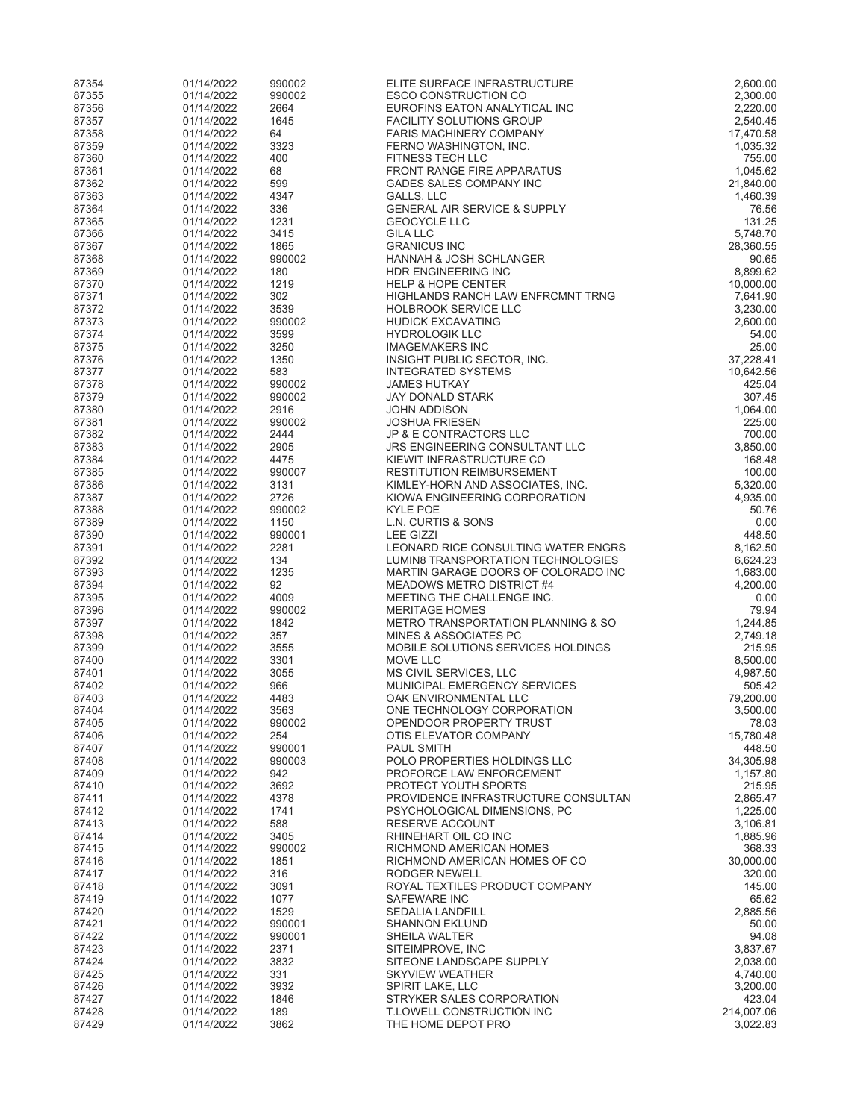| 87354          | 01/14/2022               | 990002           | ELITE SURFACE INFRASTRUCTURE                                                      | 2,600.00              |
|----------------|--------------------------|------------------|-----------------------------------------------------------------------------------|-----------------------|
| 87355          | 01/14/2022               | 990002           | <b>ESCO CONSTRUCTION CO</b>                                                       | 2,300.00              |
| 87356<br>87357 | 01/14/2022               | 2664             | EUROFINS EATON ANALYTICAL INC                                                     | 2,220.00              |
| 87358          | 01/14/2022<br>01/14/2022 | 1645<br>64       | <b>FACILITY SOLUTIONS GROUP</b><br><b>FARIS MACHINERY COMPANY</b>                 | 2,540.45<br>17,470.58 |
| 87359          | 01/14/2022               | 3323             | FERNO WASHINGTON, INC.                                                            | 1,035.32              |
| 87360          | 01/14/2022               | 400              | <b>FITNESS TECH LLC</b>                                                           | 755.00                |
| 87361          | 01/14/2022               | 68               | <b>FRONT RANGE FIRE APPARATUS</b>                                                 | 1,045.62              |
| 87362          | 01/14/2022               | 599              | GADES SALES COMPANY INC                                                           | 21,840.00             |
| 87363          | 01/14/2022               | 4347             | GALLS, LLC                                                                        | 1,460.39              |
| 87364          | 01/14/2022<br>01/14/2022 | 336              | <b>GENERAL AIR SERVICE &amp; SUPPLY</b>                                           | 76.56                 |
| 87365<br>87366 | 01/14/2022               | 1231<br>3415     | <b>GEOCYCLE LLC</b><br><b>GILA LLC</b>                                            | 131.25<br>5,748.70    |
| 87367          | 01/14/2022               | 1865             | <b>GRANICUS INC</b>                                                               | 28,360.55             |
| 87368          | 01/14/2022               | 990002           | <b>HANNAH &amp; JOSH SCHLANGER</b>                                                | 90.65                 |
| 87369          | 01/14/2022               | 180              | HDR ENGINEERING INC                                                               | 8,899.62              |
| 87370          | 01/14/2022               | 1219             | <b>HELP &amp; HOPE CENTER</b>                                                     | 10,000.00             |
| 87371          | 01/14/2022               | 302              | HIGHLANDS RANCH LAW ENFRCMNT TRNG                                                 | 7,641.90              |
| 87372          | 01/14/2022               | 3539             | <b>HOLBROOK SERVICE LLC</b>                                                       | 3,230.00              |
| 87373<br>87374 | 01/14/2022<br>01/14/2022 | 990002<br>3599   | <b>HUDICK EXCAVATING</b><br><b>HYDROLOGIK LLC</b>                                 | 2,600.00<br>54.00     |
| 87375          | 01/14/2022               | 3250             | <b>IMAGEMAKERS INC</b>                                                            | 25.00                 |
| 87376          | 01/14/2022               | 1350             | INSIGHT PUBLIC SECTOR, INC.                                                       | 37,228.41             |
| 87377          | 01/14/2022               | 583              | <b>INTEGRATED SYSTEMS</b>                                                         | 10,642.56             |
| 87378          | 01/14/2022               | 990002           | <b>JAMES HUTKAY</b>                                                               | 425.04                |
| 87379          | 01/14/2022               | 990002           | JAY DONALD STARK                                                                  | 307.45                |
| 87380          | 01/14/2022               | 2916             | JOHN ADDISON                                                                      | 1,064.00              |
| 87381<br>87382 | 01/14/2022<br>01/14/2022 | 990002<br>2444   | <b>JOSHUA FRIESEN</b><br>JP & E CONTRACTORS LLC                                   | 225.00<br>700.00      |
| 87383          | 01/14/2022               | 2905             | <b>JRS ENGINEERING CONSULTANT LLC</b>                                             | 3,850.00              |
| 87384          | 01/14/2022               | 4475             | KIEWIT INFRASTRUCTURE CO                                                          | 168.48                |
| 87385          | 01/14/2022               | 990007           | <b>RESTITUTION REIMBURSEMENT</b>                                                  | 100.00                |
| 87386          | 01/14/2022               | 3131             | KIMLEY-HORN AND ASSOCIATES, INC.                                                  | 5,320.00              |
| 87387          | 01/14/2022               | 2726             | KIOWA ENGINEERING CORPORATION                                                     | 4,935.00              |
| 87388          | 01/14/2022               | 990002           | <b>KYLE POE</b>                                                                   | 50.76                 |
| 87389<br>87390 | 01/14/2022<br>01/14/2022 | 1150<br>990001   | L.N. CURTIS & SONS<br><b>LEE GIZZI</b>                                            | 0.00<br>448.50        |
| 87391          | 01/14/2022               | 2281             | LEONARD RICE CONSULTING WATER ENGRS                                               | 8,162.50              |
| 87392          | 01/14/2022               | 134              | LUMIN8 TRANSPORTATION TECHNOLOGIES                                                | 6,624.23              |
| 87393          | 01/14/2022               | 1235             | MARTIN GARAGE DOORS OF COLORADO INC                                               | 1,683.00              |
| 87394          | 01/14/2022               | 92               | <b>MEADOWS METRO DISTRICT #4</b>                                                  | 4,200.00              |
| 87395          | 01/14/2022               | 4009             | MEETING THE CHALLENGE INC.                                                        | 0.00                  |
| 87396          | 01/14/2022               | 990002           | <b>MERITAGE HOMES</b>                                                             | 79.94                 |
| 87397<br>87398 | 01/14/2022<br>01/14/2022 | 1842<br>357      | <b>METRO TRANSPORTATION PLANNING &amp; SO</b><br><b>MINES &amp; ASSOCIATES PC</b> | 1,244.85<br>2,749.18  |
| 87399          | 01/14/2022               | 3555             | MOBILE SOLUTIONS SERVICES HOLDINGS                                                | 215.95                |
| 87400          | 01/14/2022               | 3301             | MOVE LLC                                                                          | 8,500.00              |
| 87401          | 01/14/2022               | 3055             | MS CIVIL SERVICES, LLC                                                            | 4,987.50              |
| 87402          | 01/14/2022               | 966              | MUNICIPAL EMERGENCY SERVICES                                                      | 505.42                |
| 87403          | 01/14/2022               | 4483             | OAK ENVIRONMENTAL LLC                                                             | 79,200.00             |
| 87404          | 01/14/2022               | 3563             | ONE TECHNOLOGY CORPORATION                                                        | 3,500.00              |
| 87405<br>87406 | 01/14/2022<br>01/14/2022 | 990002<br>254    | OPENDOOR PROPERTY TRUST<br>OTIS ELEVATOR COMPANY                                  | 78.03<br>15,780.48    |
| 87407          | 01/14/2022               | 990001           | <b>PAUL SMITH</b>                                                                 | 448.50                |
| 87408          | 01/14/2022               | 990003           | POLO PROPERTIES HOLDINGS LLC                                                      | 34,305.98             |
| 87409          | 01/14/2022               | 942              | PROFORCE LAW ENFORCEMENT                                                          | 1,157.80              |
| 87410          | 01/14/2022               | 3692             | PROTECT YOUTH SPORTS                                                              | 215.95                |
| 87411          | 01/14/2022               | 4378             | PROVIDENCE INFRASTRUCTURE CONSULTAN                                               | 2,865.47              |
| 87412          | 01/14/2022               | 1741             | PSYCHOLOGICAL DIMENSIONS, PC                                                      | 1,225.00              |
| 87413<br>87414 | 01/14/2022<br>01/14/2022 | 588<br>3405      | RESERVE ACCOUNT<br>RHINEHART OIL CO INC                                           | 3,106.81<br>1.885.96  |
| 87415          | 01/14/2022               | 990002           | RICHMOND AMERICAN HOMES                                                           | 368.33                |
| 87416          | 01/14/2022               | 1851             | RICHMOND AMERICAN HOMES OF CO                                                     | 30,000.00             |
| 87417          | 01/14/2022               | 316              | RODGER NEWELL                                                                     | 320.00                |
| 87418          | 01/14/2022               | 3091             | ROYAL TEXTILES PRODUCT COMPANY                                                    | 145.00                |
| 87419          | 01/14/2022               | 1077             | <b>SAFEWARE INC</b>                                                               | 65.62                 |
| 87420          | 01/14/2022               | 1529             | <b>SEDALIA LANDFILL</b>                                                           | 2,885.56              |
| 87421<br>87422 | 01/14/2022<br>01/14/2022 | 990001<br>990001 | <b>SHANNON EKLUND</b><br>SHEILA WALTER                                            | 50.00<br>94.08        |
| 87423          | 01/14/2022               | 2371             | SITEIMPROVE, INC                                                                  | 3,837.67              |
| 87424          | 01/14/2022               | 3832             | SITEONE LANDSCAPE SUPPLY                                                          | 2,038.00              |
| 87425          | 01/14/2022               | 331              | <b>SKYVIEW WEATHER</b>                                                            | 4,740.00              |
| 87426          | 01/14/2022               | 3932             | SPIRIT LAKE, LLC                                                                  | 3,200.00              |
| 87427          | 01/14/2022               | 1846             | STRYKER SALES CORPORATION                                                         | 423.04                |
| 87428          | 01/14/2022               | 189              | <b>T.LOWELL CONSTRUCTION INC</b>                                                  | 214,007.06            |
| 87429          | 01/14/2022               | 3862             | THE HOME DEPOT PRO                                                                | 3,022.83              |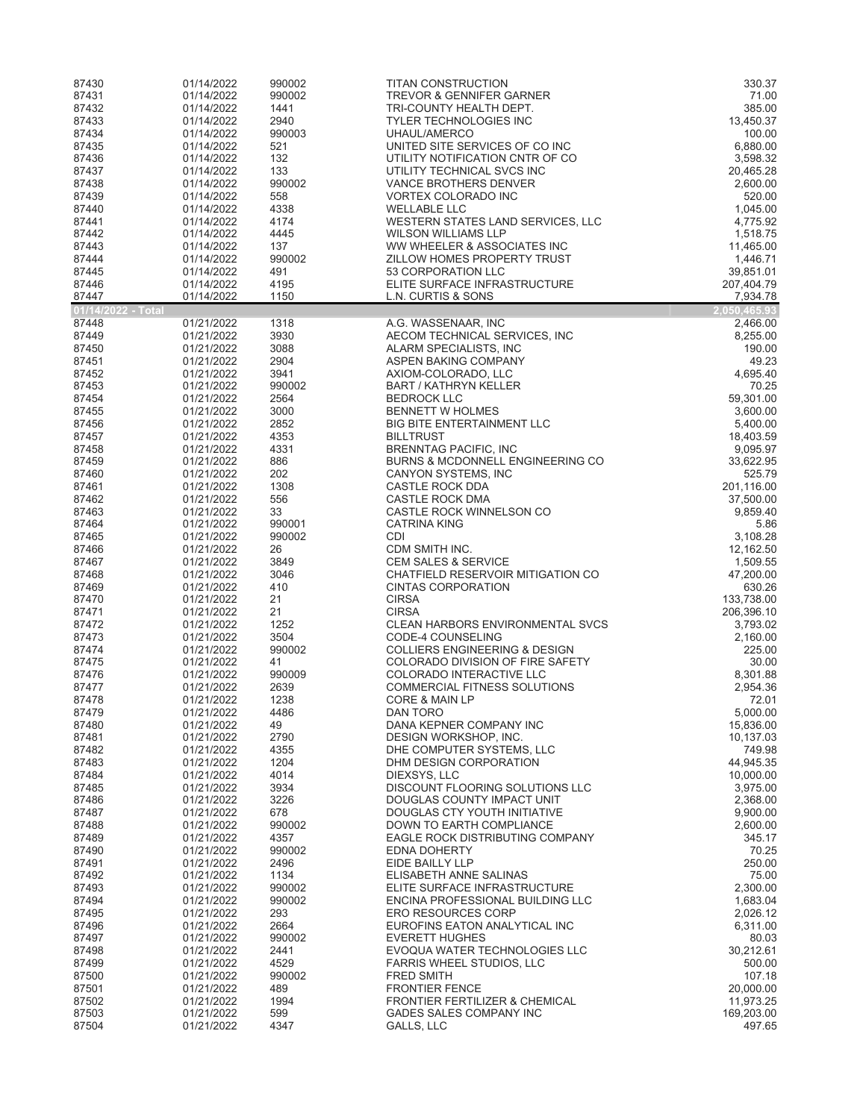| 87430                       | 01/14/2022               | 990002           | <b>TITAN CONSTRUCTION</b>                                           | 330.37                   |
|-----------------------------|--------------------------|------------------|---------------------------------------------------------------------|--------------------------|
| 87431                       | 01/14/2022               | 990002           | <b>TREVOR &amp; GENNIFER GARNER</b>                                 | 71.00                    |
| 87432<br>87433              | 01/14/2022               | 1441             | TRI-COUNTY HEALTH DEPT.<br><b>TYLER TECHNOLOGIES INC</b>            | 385.00<br>13,450.37      |
| 87434                       | 01/14/2022<br>01/14/2022 | 2940<br>990003   | UHAUL/AMERCO                                                        | 100.00                   |
| 87435                       | 01/14/2022               | 521              | UNITED SITE SERVICES OF CO INC                                      | 6,880.00                 |
| 87436                       | 01/14/2022               | 132              | UTILITY NOTIFICATION CNTR OF CO                                     | 3,598.32                 |
| 87437                       | 01/14/2022               | 133              | UTILITY TECHNICAL SVCS INC                                          | 20,465.28                |
| 87438                       | 01/14/2022               | 990002           | VANCE BROTHERS DENVER                                               | 2,600.00                 |
| 87439                       | 01/14/2022               | 558              | VORTEX COLORADO INC                                                 | 520.00                   |
| 87440<br>87441              | 01/14/2022<br>01/14/2022 | 4338<br>4174     | <b>WELLABLE LLC</b><br>WESTERN STATES LAND SERVICES, LLC            | 1,045.00<br>4,775.92     |
| 87442                       | 01/14/2022               | 4445             | <b>WILSON WILLIAMS LLP</b>                                          | 1,518.75                 |
| 87443                       | 01/14/2022               | 137              | WW WHEELER & ASSOCIATES INC                                         | 11,465.00                |
| 87444                       | 01/14/2022               | 990002           | ZILLOW HOMES PROPERTY TRUST                                         | 1,446.71                 |
| 87445                       | 01/14/2022               | 491              | 53 CORPORATION LLC                                                  | 39,851.01                |
| 87446                       | 01/14/2022               | 4195             | ELITE SURFACE INFRASTRUCTURE                                        | 207,404.79               |
| 87447<br>01/14/2022 - Total | 01/14/2022               | 1150             | L.N. CURTIS & SONS                                                  | 7,934.78<br>2,050,465.93 |
| 87448                       | 01/21/2022               | 1318             | A.G. WASSENAAR, INC                                                 | 2,466.00                 |
| 87449                       | 01/21/2022               | 3930             | AECOM TECHNICAL SERVICES, INC                                       | 8,255.00                 |
| 87450                       | 01/21/2022               | 3088             | ALARM SPECIALISTS, INC                                              | 190.00                   |
| 87451                       | 01/21/2022               | 2904             | ASPEN BAKING COMPANY                                                | 49.23                    |
| 87452                       | 01/21/2022               | 3941<br>990002   | AXIOM-COLORADO, LLC                                                 | 4,695.40                 |
| 87453<br>87454              | 01/21/2022<br>01/21/2022 | 2564             | <b>BART / KATHRYN KELLER</b><br><b>BEDROCK LLC</b>                  | 70.25<br>59,301.00       |
| 87455                       | 01/21/2022               | 3000             | <b>BENNETT W HOLMES</b>                                             | 3,600.00                 |
| 87456                       | 01/21/2022               | 2852             | BIG BITE ENTERTAINMENT LLC                                          | 5,400.00                 |
| 87457                       | 01/21/2022               | 4353             | <b>BILLTRUST</b>                                                    | 18,403.59                |
| 87458                       | 01/21/2022               | 4331             | <b>BRENNTAG PACIFIC, INC</b>                                        | 9,095.97                 |
| 87459                       | 01/21/2022               | 886              | BURNS & MCDONNELL ENGINEERING CO                                    | 33,622.95                |
| 87460<br>87461              | 01/21/2022<br>01/21/2022 | 202<br>1308      | CANYON SYSTEMS, INC<br><b>CASTLE ROCK DDA</b>                       | 525.79<br>201,116.00     |
| 87462                       | 01/21/2022               | 556              | CASTLE ROCK DMA                                                     | 37,500.00                |
| 87463                       | 01/21/2022               | 33               | CASTLE ROCK WINNELSON CO                                            | 9,859.40                 |
| 87464                       | 01/21/2022               | 990001           | <b>CATRINA KING</b>                                                 | 5.86                     |
| 87465                       | 01/21/2022               | 990002           | <b>CDI</b>                                                          | 3,108.28                 |
| 87466                       | 01/21/2022               | 26               | CDM SMITH INC.                                                      | 12,162.50                |
| 87467<br>87468              | 01/21/2022<br>01/21/2022 | 3849<br>3046     | <b>CEM SALES &amp; SERVICE</b><br>CHATFIELD RESERVOIR MITIGATION CO | 1,509.55<br>47,200.00    |
| 87469                       | 01/21/2022               | 410              | <b>CINTAS CORPORATION</b>                                           | 630.26                   |
| 87470                       | 01/21/2022               | 21               | <b>CIRSA</b>                                                        | 133,738.00               |
| 87471                       | 01/21/2022               | 21               | <b>CIRSA</b>                                                        | 206,396.10               |
| 87472                       | 01/21/2022               | 1252             | CLEAN HARBORS ENVIRONMENTAL SVCS                                    | 3,793.02                 |
| 87473<br>87474              | 01/21/2022<br>01/21/2022 | 3504<br>990002   | CODE-4 COUNSELING<br><b>COLLIERS ENGINEERING &amp; DESIGN</b>       | 2,160.00<br>225.00       |
| 87475                       | 01/21/2022               | 41               | COLORADO DIVISION OF FIRE SAFETY                                    | 30.00                    |
| 87476                       | 01/21/2022               | 990009           | COLORADO INTERACTIVE LLC                                            | 8,301.88                 |
| 87477                       | 01/21/2022               | 2639             | COMMERCIAL FITNESS SOLUTIONS                                        | 2,954.36                 |
| 87478                       | 01/21/2022               | 1238             | <b>CORE &amp; MAIN LP</b>                                           | 72.01                    |
| 87479                       | 01/21/2022               | 4486             | DAN TORO                                                            | 5,000.00                 |
| 87480<br>87481              | 01/21/2022<br>01/21/2022 | 49<br>2790       | DANA KEPNER COMPANY INC<br>DESIGN WORKSHOP, INC.                    | 15,836.00<br>10,137.03   |
| 87482                       | 01/21/2022               | 4355             | DHE COMPUTER SYSTEMS, LLC                                           | 749.98                   |
| 87483                       | 01/21/2022               | 1204             | DHM DESIGN CORPORATION                                              | 44,945.35                |
| 87484                       | 01/21/2022               | 4014             | DIEXSYS, LLC                                                        | 10,000.00                |
| 87485                       | 01/21/2022               | 3934             | DISCOUNT FLOORING SOLUTIONS LLC                                     | 3,975.00                 |
| 87486                       | 01/21/2022<br>01/21/2022 | 3226             | DOUGLAS COUNTY IMPACT UNIT<br>DOUGLAS CTY YOUTH INITIATIVE          | 2,368.00                 |
| 87487<br>87488              | 01/21/2022               | 678<br>990002    | DOWN TO EARTH COMPLIANCE                                            | 9,900.00<br>2,600.00     |
| 87489                       | 01/21/2022               | 4357             | EAGLE ROCK DISTRIBUTING COMPANY                                     | 345.17                   |
| 87490                       | 01/21/2022               | 990002           | <b>EDNA DOHERTY</b>                                                 | 70.25                    |
| 87491                       | 01/21/2022               | 2496             | EIDE BAILLY LLP                                                     | 250.00                   |
| 87492                       | 01/21/2022               | 1134             | ELISABETH ANNE SALINAS                                              | 75.00                    |
| 87493<br>87494              | 01/21/2022<br>01/21/2022 | 990002<br>990002 | ELITE SURFACE INFRASTRUCTURE<br>ENCINA PROFESSIONAL BUILDING LLC    | 2,300.00<br>1,683.04     |
| 87495                       | 01/21/2022               | 293              | <b>ERO RESOURCES CORP</b>                                           | 2,026.12                 |
| 87496                       | 01/21/2022               | 2664             | EUROFINS EATON ANALYTICAL INC                                       | 6,311.00                 |
| 87497                       | 01/21/2022               | 990002           | <b>EVERETT HUGHES</b>                                               | 80.03                    |
| 87498                       | 01/21/2022               | 2441             | EVOQUA WATER TECHNOLOGIES LLC                                       | 30,212.61                |
| 87499                       | 01/21/2022               | 4529             | <b>FARRIS WHEEL STUDIOS, LLC</b>                                    | 500.00                   |
| 87500<br>87501              | 01/21/2022<br>01/21/2022 | 990002<br>489    | <b>FRED SMITH</b><br><b>FRONTIER FENCE</b>                          | 107.18<br>20,000.00      |
| 87502                       | 01/21/2022               | 1994             | FRONTIER FERTILIZER & CHEMICAL                                      | 11,973.25                |
| 87503                       | 01/21/2022               | 599              | GADES SALES COMPANY INC                                             | 169,203.00               |
| 87504                       | 01/21/2022               | 4347             | GALLS, LLC                                                          | 497.65                   |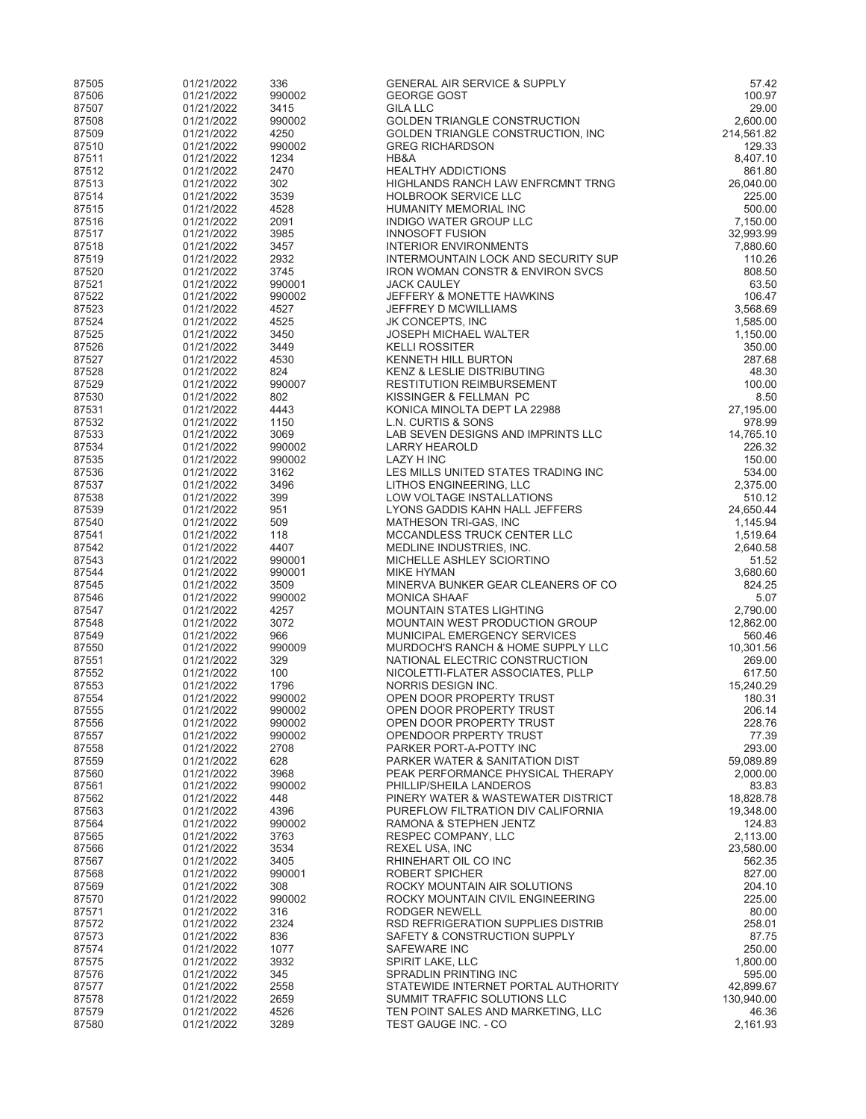| 87505          | 01/21/2022               | 336            | <b>GENERAL AIR SERVICE &amp; SUPPLY</b>                             | 57.42               |
|----------------|--------------------------|----------------|---------------------------------------------------------------------|---------------------|
| 87506          | 01/21/2022               | 990002         | <b>GEORGE GOST</b>                                                  | 100.97              |
| 87507          | 01/21/2022               | 3415           | <b>GILA LLC</b>                                                     | 29.00               |
| 87508          | 01/21/2022               | 990002         | <b>GOLDEN TRIANGLE CONSTRUCTION</b>                                 | 2,600.00            |
| 87509          | 01/21/2022               | 4250           | GOLDEN TRIANGLE CONSTRUCTION, INC                                   | 214,561.82          |
| 87510<br>87511 | 01/21/2022<br>01/21/2022 | 990002<br>1234 | <b>GREG RICHARDSON</b><br>HB&A                                      | 129.33<br>8,407.10  |
| 87512          | 01/21/2022               | 2470           | <b>HEALTHY ADDICTIONS</b>                                           | 861.80              |
| 87513          | 01/21/2022               | 302            | HIGHLANDS RANCH LAW ENFRCMNT TRNG                                   | 26,040.00           |
| 87514          | 01/21/2022               | 3539           | <b>HOLBROOK SERVICE LLC</b>                                         | 225.00              |
| 87515          | 01/21/2022               | 4528           | HUMANITY MEMORIAL INC                                               | 500.00              |
| 87516          | 01/21/2022               | 2091           | <b>INDIGO WATER GROUP LLC</b>                                       | 7,150.00            |
| 87517          | 01/21/2022               | 3985           | <b>INNOSOFT FUSION</b>                                              | 32,993.99           |
| 87518          | 01/21/2022               | 3457           | <b>INTERIOR ENVIRONMENTS</b>                                        | 7,880.60            |
| 87519          | 01/21/2022               | 2932           | INTERMOUNTAIN LOCK AND SECURITY SUP                                 | 110.26              |
| 87520<br>87521 | 01/21/2022               | 3745<br>990001 | <b>IRON WOMAN CONSTR &amp; ENVIRON SVCS</b><br><b>JACK CAULEY</b>   | 808.50              |
| 87522          | 01/21/2022<br>01/21/2022 | 990002         | JEFFERY & MONETTE HAWKINS                                           | 63.50<br>106.47     |
| 87523          | 01/21/2022               | 4527           | JEFFREY D MCWILLIAMS                                                | 3,568.69            |
| 87524          | 01/21/2022               | 4525           | JK CONCEPTS, INC                                                    | 1,585.00            |
| 87525          | 01/21/2022               | 3450           | <b>JOSEPH MICHAEL WALTER</b>                                        | 1,150.00            |
| 87526          | 01/21/2022               | 3449           | <b>KELLI ROSSITER</b>                                               | 350.00              |
| 87527          | 01/21/2022               | 4530           | <b>KENNETH HILL BURTON</b>                                          | 287.68              |
| 87528          | 01/21/2022               | 824            | <b>KENZ &amp; LESLIE DISTRIBUTING</b>                               | 48.30               |
| 87529          | 01/21/2022               | 990007         | RESTITUTION REIMBURSEMENT                                           | 100.00              |
| 87530          | 01/21/2022               | 802            | KISSINGER & FELLMAN PC                                              | 8.50                |
| 87531<br>87532 | 01/21/2022<br>01/21/2022 | 4443<br>1150   | KONICA MINOLTA DEPT LA 22988<br>L.N. CURTIS & SONS                  | 27,195.00<br>978.99 |
| 87533          | 01/21/2022               | 3069           | LAB SEVEN DESIGNS AND IMPRINTS LLC                                  | 14,765.10           |
| 87534          | 01/21/2022               | 990002         | <b>LARRY HEAROLD</b>                                                | 226.32              |
| 87535          | 01/21/2022               | 990002         | <b>LAZY H INC</b>                                                   | 150.00              |
| 87536          | 01/21/2022               | 3162           | LES MILLS UNITED STATES TRADING INC                                 | 534.00              |
| 87537          | 01/21/2022               | 3496           | LITHOS ENGINEERING, LLC                                             | 2.375.00            |
| 87538          | 01/21/2022               | 399            | LOW VOLTAGE INSTALLATIONS                                           | 510.12              |
| 87539          | 01/21/2022               | 951            | LYONS GADDIS KAHN HALL JEFFERS                                      | 24,650.44           |
| 87540          | 01/21/2022               | 509            | MATHESON TRI-GAS, INC                                               | 1,145.94            |
| 87541<br>87542 | 01/21/2022               | 118<br>4407    | MCCANDLESS TRUCK CENTER LLC                                         | 1,519.64            |
| 87543          | 01/21/2022<br>01/21/2022 | 990001         | MEDLINE INDUSTRIES, INC.<br>MICHELLE ASHLEY SCIORTINO               | 2,640.58<br>51.52   |
| 87544          | 01/21/2022               | 990001         | <b>MIKE HYMAN</b>                                                   | 3,680.60            |
| 87545          | 01/21/2022               | 3509           | MINERVA BUNKER GEAR CLEANERS OF CO                                  | 824.25              |
| 87546          | 01/21/2022               | 990002         | <b>MONICA SHAAF</b>                                                 | 5.07                |
| 87547          | 01/21/2022               | 4257           | <b>MOUNTAIN STATES LIGHTING</b>                                     | 2,790.00            |
| 87548          | 01/21/2022               | 3072           | MOUNTAIN WEST PRODUCTION GROUP                                      | 12,862.00           |
| 87549          | 01/21/2022               | 966            | MUNICIPAL EMERGENCY SERVICES                                        | 560.46              |
| 87550          | 01/21/2022               | 990009         | MURDOCH'S RANCH & HOME SUPPLY LLC                                   | 10,301.56           |
| 87551<br>87552 | 01/21/2022               | 329<br>100     | NATIONAL ELECTRIC CONSTRUCTION<br>NICOLETTI-FLATER ASSOCIATES, PLLP | 269.00<br>617.50    |
| 87553          | 01/21/2022<br>01/21/2022 | 1796           | NORRIS DESIGN INC.                                                  | 15,240.29           |
| 87554          | 01/21/2022               | 990002         | OPEN DOOR PROPERTY TRUST                                            | 180.31              |
| 87555          | 01/21/2022               | 990002         | OPEN DOOR PROPERTY TRUST                                            | 206.14              |
| 87556          | 01/21/2022               | 990002         | OPEN DOOR PROPERTY TRUST                                            | 228.76              |
| 87557          | 01/21/2022               | 990002         | OPENDOOR PRPERTY TRUST                                              | 77.39               |
| 87558          | 01/21/2022               | 2708           | PARKER PORT-A-POTTY INC                                             | 293.00              |
| 87559          | 01/21/2022               | 628            | PARKER WATER & SANITATION DIST                                      | 59,089.89           |
| 87560          | 01/21/2022               | 3968           | PEAK PERFORMANCE PHYSICAL THERAPY                                   | 2,000.00            |
| 87561<br>87562 | 01/21/2022<br>01/21/2022 | 990002<br>448  | PHILLIP/SHEILA LANDEROS<br>PINERY WATER & WASTEWATER DISTRICT       | 83.83<br>18,828.78  |
| 87563          | 01/21/2022               | 4396           | PUREFLOW FILTRATION DIV CALIFORNIA                                  | 19,348.00           |
| 87564          | 01/21/2022               | 990002         | RAMONA & STEPHEN JENTZ                                              | 124.83              |
| 87565          | 01/21/2022               | 3763           | RESPEC COMPANY, LLC                                                 | 2,113.00            |
| 87566          | 01/21/2022               | 3534           | REXEL USA, INC                                                      | 23,580.00           |
| 87567          | 01/21/2022               | 3405           | RHINEHART OIL CO INC                                                | 562.35              |
| 87568          | 01/21/2022               | 990001         | ROBERT SPICHER                                                      | 827.00              |
| 87569          | 01/21/2022               | 308            | ROCKY MOUNTAIN AIR SOLUTIONS                                        | 204.10              |
| 87570          | 01/21/2022               | 990002         | ROCKY MOUNTAIN CIVIL ENGINEERING                                    | 225.00              |
| 87571<br>87572 | 01/21/2022<br>01/21/2022 | 316<br>2324    | RODGER NEWELL<br>RSD REFRIGERATION SUPPLIES DISTRIB                 | 80.00<br>258.01     |
| 87573          | 01/21/2022               | 836            | SAFETY & CONSTRUCTION SUPPLY                                        | 87.75               |
| 87574          | 01/21/2022               | 1077           | <b>SAFEWARE INC</b>                                                 | 250.00              |
| 87575          | 01/21/2022               | 3932           | SPIRIT LAKE, LLC                                                    | 1,800.00            |
| 87576          | 01/21/2022               | 345            | SPRADLIN PRINTING INC                                               | 595.00              |
| 87577          | 01/21/2022               | 2558           | STATEWIDE INTERNET PORTAL AUTHORITY                                 | 42,899.67           |
| 87578          | 01/21/2022               | 2659           | SUMMIT TRAFFIC SOLUTIONS LLC                                        | 130,940.00          |
| 87579          | 01/21/2022               | 4526           | TEN POINT SALES AND MARKETING, LLC                                  | 46.36               |
| 87580          | 01/21/2022               | 3289           | TEST GAUGE INC. - CO                                                | 2,161.93            |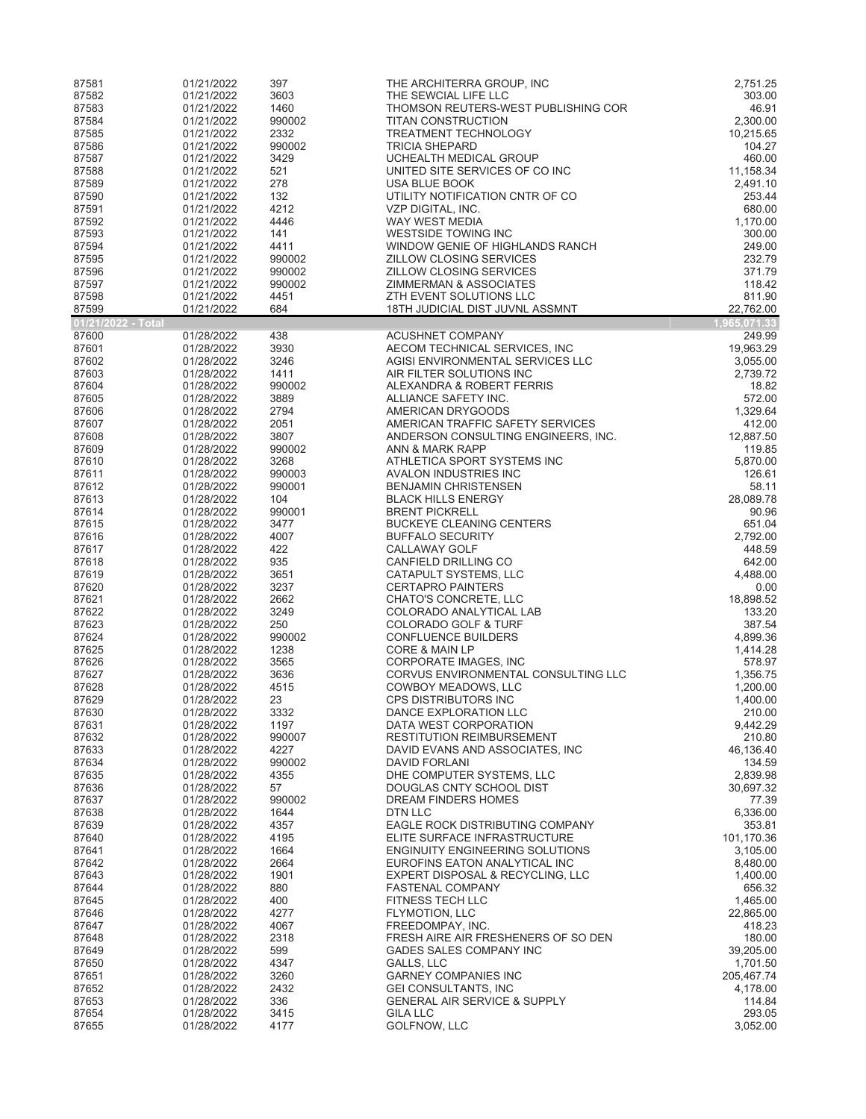| 87581              | 01/21/2022               | 397              | THE ARCHITERRA GROUP, INC                                               | 2,751.25              |
|--------------------|--------------------------|------------------|-------------------------------------------------------------------------|-----------------------|
| 87582              | 01/21/2022               | 3603             | THE SEWCIAL LIFE LLC                                                    | 303.00                |
| 87583<br>87584     | 01/21/2022<br>01/21/2022 | 1460<br>990002   | THOMSON REUTERS-WEST PUBLISHING COR<br><b>TITAN CONSTRUCTION</b>        | 46.91<br>2,300.00     |
| 87585              | 01/21/2022               | 2332             | <b>TREATMENT TECHNOLOGY</b>                                             | 10,215.65             |
| 87586              | 01/21/2022               | 990002           | <b>TRICIA SHEPARD</b>                                                   | 104.27                |
| 87587              | 01/21/2022               | 3429             | UCHEALTH MEDICAL GROUP                                                  | 460.00                |
| 87588              | 01/21/2022               | 521              | UNITED SITE SERVICES OF CO INC                                          | 11,158.34             |
| 87589<br>87590     | 01/21/2022<br>01/21/2022 | 278<br>132       | USA BLUE BOOK<br>UTILITY NOTIFICATION CNTR OF CO                        | 2,491.10<br>253.44    |
| 87591              | 01/21/2022               | 4212             | VZP DIGITAL, INC.                                                       | 680.00                |
| 87592              | 01/21/2022               | 4446             | WAY WEST MEDIA                                                          | 1,170.00              |
| 87593              | 01/21/2022               | 141              | <b>WESTSIDE TOWING INC</b>                                              | 300.00                |
| 87594              | 01/21/2022               | 4411             | WINDOW GENIE OF HIGHLANDS RANCH                                         | 249.00                |
| 87595<br>87596     | 01/21/2022<br>01/21/2022 | 990002<br>990002 | <b>ZILLOW CLOSING SERVICES</b><br>ZILLOW CLOSING SERVICES               | 232.79<br>371.79      |
| 87597              | 01/21/2022               | 990002           | ZIMMERMAN & ASSOCIATES                                                  | 118.42                |
| 87598              | 01/21/2022               | 4451             | ZTH EVENT SOLUTIONS LLC                                                 | 811.90                |
| 87599              | 01/21/2022               | 684              | 18TH JUDICIAL DIST JUVNL ASSMNT                                         | 22,762.00             |
| 01/21/2022 - Total |                          |                  |                                                                         | 1,965,071.33          |
| 87600<br>87601     | 01/28/2022<br>01/28/2022 | 438<br>3930      | <b>ACUSHNET COMPANY</b>                                                 | 249.99<br>19,963.29   |
| 87602              | 01/28/2022               | 3246             | AECOM TECHNICAL SERVICES, INC<br>AGISI ENVIRONMENTAL SERVICES LLC       | 3,055.00              |
| 87603              | 01/28/2022               | 1411             | AIR FILTER SOLUTIONS INC                                                | 2,739.72              |
| 87604              | 01/28/2022               | 990002           | ALEXANDRA & ROBERT FERRIS                                               | 18.82                 |
| 87605              | 01/28/2022               | 3889             | ALLIANCE SAFETY INC.                                                    | 572.00                |
| 87606              | 01/28/2022               | 2794             | AMERICAN DRYGOODS                                                       | 1,329.64              |
| 87607<br>87608     | 01/28/2022<br>01/28/2022 | 2051<br>3807     | AMERICAN TRAFFIC SAFETY SERVICES<br>ANDERSON CONSULTING ENGINEERS, INC. | 412.00<br>12,887.50   |
| 87609              | 01/28/2022               | 990002           | ANN & MARK RAPP                                                         | 119.85                |
| 87610              | 01/28/2022               | 3268             | ATHLETICA SPORT SYSTEMS INC                                             | 5,870.00              |
| 87611              | 01/28/2022               | 990003           | AVALON INDUSTRIES INC                                                   | 126.61                |
| 87612              | 01/28/2022               | 990001           | <b>BENJAMIN CHRISTENSEN</b>                                             | 58.11                 |
| 87613<br>87614     | 01/28/2022<br>01/28/2022 | 104<br>990001    | <b>BLACK HILLS ENERGY</b><br><b>BRENT PICKRELL</b>                      | 28,089.78<br>90.96    |
| 87615              | 01/28/2022               | 3477             | <b>BUCKEYE CLEANING CENTERS</b>                                         | 651.04                |
| 87616              | 01/28/2022               | 4007             | <b>BUFFALO SECURITY</b>                                                 | 2,792.00              |
| 87617              | 01/28/2022               | 422              | CALLAWAY GOLF                                                           | 448.59                |
| 87618              | 01/28/2022               | 935              | CANFIELD DRILLING CO                                                    | 642.00                |
| 87619<br>87620     | 01/28/2022<br>01/28/2022 | 3651<br>3237     | CATAPULT SYSTEMS, LLC<br><b>CERTAPRO PAINTERS</b>                       | 4,488.00<br>0.00      |
| 87621              | 01/28/2022               | 2662             | CHATO'S CONCRETE, LLC                                                   | 18,898.52             |
| 87622              | 01/28/2022               | 3249             | COLORADO ANALYTICAL LAB                                                 | 133.20                |
| 87623              | 01/28/2022               | 250              | <b>COLORADO GOLF &amp; TURF</b>                                         | 387.54                |
| 87624              | 01/28/2022               | 990002           | <b>CONFLUENCE BUILDERS</b>                                              | 4,899.36              |
| 87625<br>87626     | 01/28/2022<br>01/28/2022 | 1238<br>3565     | <b>CORE &amp; MAIN LP</b><br>CORPORATE IMAGES, INC                      | 1,414.28<br>578.97    |
| 87627              | 01/28/2022               | 3636             | CORVUS ENVIRONMENTAL CONSULTING LLC                                     | 1,356.75              |
| 87628              | 01/28/2022               | 4515             | COWBOY MEADOWS, LLC                                                     | 1,200.00              |
| 87629              | 01/28/2022               | 23               | <b>CPS DISTRIBUTORS INC</b>                                             | 1,400.00              |
| 87630              | 01/28/2022               | 3332             | DANCE EXPLORATION LLC                                                   | 210.00                |
| 87631<br>87632     | 01/28/2022<br>01/28/2022 | 1197<br>990007   | DATA WEST CORPORATION<br><b>RESTITUTION REIMBURSEMENT</b>               | 9,442.29<br>210.80    |
| 87633              | 01/28/2022               | 4227             | DAVID EVANS AND ASSOCIATES, INC                                         | 46,136.40             |
| 87634              | 01/28/2022               | 990002           | <b>DAVID FORLANI</b>                                                    | 134.59                |
| 87635              | 01/28/2022               | 4355             | DHE COMPUTER SYSTEMS, LLC                                               | 2,839.98              |
| 87636              | 01/28/2022               | 57               | DOUGLAS CNTY SCHOOL DIST                                                | 30,697.32             |
| 87637<br>87638     | 01/28/2022<br>01/28/2022 | 990002<br>1644   | DREAM FINDERS HOMES<br>DTN LLC                                          | 77.39<br>6,336.00     |
| 87639              | 01/28/2022               | 4357             | EAGLE ROCK DISTRIBUTING COMPANY                                         | 353.81                |
| 87640              | 01/28/2022               | 4195             | ELITE SURFACE INFRASTRUCTURE                                            | 101,170.36            |
| 87641              | 01/28/2022               | 1664             | <b>ENGINUITY ENGINEERING SOLUTIONS</b>                                  | 3,105.00              |
| 87642              | 01/28/2022               | 2664             | EUROFINS EATON ANALYTICAL INC                                           | 8,480.00              |
| 87643<br>87644     | 01/28/2022<br>01/28/2022 | 1901<br>880      | EXPERT DISPOSAL & RECYCLING, LLC<br><b>FASTENAL COMPANY</b>             | 1,400.00<br>656.32    |
| 87645              | 01/28/2022               | 400              | FITNESS TECH LLC                                                        | 1,465.00              |
| 87646              | 01/28/2022               | 4277             | FLYMOTION, LLC                                                          | 22,865.00             |
| 87647              | 01/28/2022               | 4067             | FREEDOMPAY, INC.                                                        | 418.23                |
| 87648              | 01/28/2022               | 2318             | FRESH AIRE AIR FRESHENERS OF SO DEN                                     | 180.00                |
| 87649              | 01/28/2022               | 599              | GADES SALES COMPANY INC<br>GALLS, LLC                                   | 39,205.00<br>1,701.50 |
| 87650<br>87651     | 01/28/2022<br>01/28/2022 | 4347<br>3260     | <b>GARNEY COMPANIES INC</b>                                             | 205,467.74            |
| 87652              | 01/28/2022               | 2432             | <b>GEI CONSULTANTS, INC</b>                                             | 4,178.00              |
| 87653              | 01/28/2022               | 336              | <b>GENERAL AIR SERVICE &amp; SUPPLY</b>                                 | 114.84                |
| 87654              | 01/28/2022               | 3415             | <b>GILA LLC</b>                                                         | 293.05                |
| 87655              | 01/28/2022               | 4177             | GOLFNOW, LLC                                                            | 3,052.00              |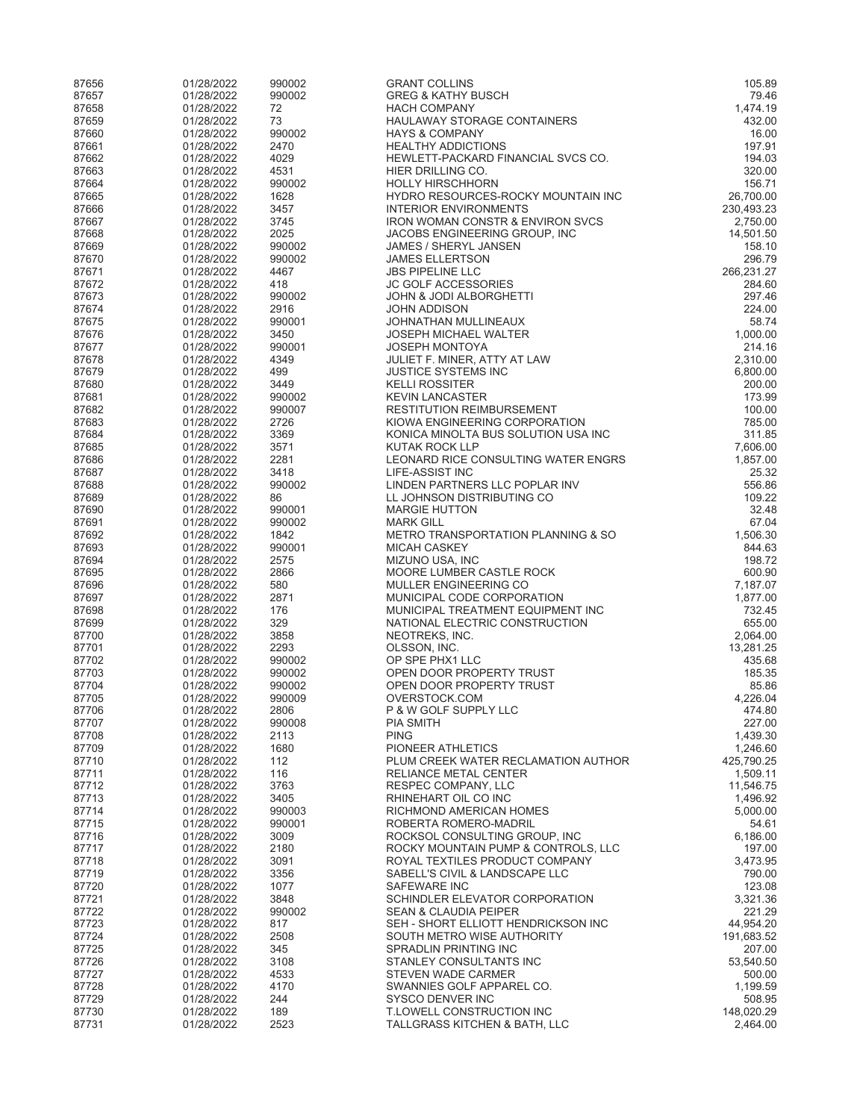| 87656          | 01/28/2022               | 990002           | <b>GRANT COLLINS</b>                                               | 105.89                |
|----------------|--------------------------|------------------|--------------------------------------------------------------------|-----------------------|
| 87657          | 01/28/2022               | 990002           | <b>GREG &amp; KATHY BUSCH</b>                                      | 79.46                 |
| 87658          | 01/28/2022               | 72               | <b>HACH COMPANY</b>                                                | 1,474.19              |
| 87659          | 01/28/2022               | 73               | HAULAWAY STORAGE CONTAINERS                                        | 432.00                |
| 87660<br>87661 | 01/28/2022<br>01/28/2022 | 990002<br>2470   | <b>HAYS &amp; COMPANY</b><br><b>HEALTHY ADDICTIONS</b>             | 16.00<br>197.91       |
| 87662          | 01/28/2022               | 4029             | HEWLETT-PACKARD FINANCIAL SVCS CO.                                 | 194.03                |
| 87663          | 01/28/2022               | 4531             | HIER DRILLING CO.                                                  | 320.00                |
| 87664          | 01/28/2022               | 990002           | <b>HOLLY HIRSCHHORN</b>                                            | 156.71                |
| 87665          | 01/28/2022               | 1628             | HYDRO RESOURCES-ROCKY MOUNTAIN INC                                 | 26,700.00             |
| 87666          | 01/28/2022               | 3457             | <b>INTERIOR ENVIRONMENTS</b>                                       | 230,493.23            |
| 87667          | 01/28/2022               | 3745             | <b>IRON WOMAN CONSTR &amp; ENVIRON SVCS</b>                        | 2,750.00              |
| 87668          | 01/28/2022               | 2025             | JACOBS ENGINEERING GROUP, INC                                      | 14,501.50             |
| 87669          | 01/28/2022               | 990002           | <b>JAMES / SHERYL JANSEN</b>                                       | 158.10                |
| 87670          | 01/28/2022               | 990002           | <b>JAMES ELLERTSON</b>                                             | 296.79                |
| 87671<br>87672 | 01/28/2022<br>01/28/2022 | 4467<br>418      | <b>JBS PIPELINE LLC</b><br><b>JC GOLF ACCESSORIES</b>              | 266,231.27<br>284.60  |
| 87673          | 01/28/2022               | 990002           | JOHN & JODI ALBORGHETTI                                            | 297.46                |
| 87674          | 01/28/2022               | 2916             | JOHN ADDISON                                                       | 224.00                |
| 87675          | 01/28/2022               | 990001           | JOHNATHAN MULLINEAUX                                               | 58.74                 |
| 87676          | 01/28/2022               | 3450             | JOSEPH MICHAEL WALTER                                              | 1,000.00              |
| 87677          | 01/28/2022               | 990001           | <b>JOSEPH MONTOYA</b>                                              | 214.16                |
| 87678          | 01/28/2022               | 4349             | JULIET F. MINER, ATTY AT LAW                                       | 2,310.00              |
| 87679          | 01/28/2022               | 499              | <b>JUSTICE SYSTEMS INC</b>                                         | 6,800.00              |
| 87680          | 01/28/2022               | 3449             | <b>KELLI ROSSITER</b>                                              | 200.00                |
| 87681<br>87682 | 01/28/2022<br>01/28/2022 | 990002<br>990007 | <b>KEVIN LANCASTER</b><br><b>RESTITUTION REIMBURSEMENT</b>         | 173.99<br>100.00      |
| 87683          | 01/28/2022               | 2726             | KIOWA ENGINEERING CORPORATION                                      | 785.00                |
| 87684          | 01/28/2022               | 3369             | KONICA MINOLTA BUS SOLUTION USA INC                                | 311.85                |
| 87685          | 01/28/2022               | 3571             | <b>KUTAK ROCK LLP</b>                                              | 7,606.00              |
| 87686          | 01/28/2022               | 2281             | LEONARD RICE CONSULTING WATER ENGRS                                | 1,857.00              |
| 87687          | 01/28/2022               | 3418             | LIFE-ASSIST INC                                                    | 25.32                 |
| 87688          | 01/28/2022               | 990002           | LINDEN PARTNERS LLC POPLAR INV                                     | 556.86                |
| 87689          | 01/28/2022               | 86               | LL JOHNSON DISTRIBUTING CO                                         | 109.22                |
| 87690          | 01/28/2022               | 990001           | <b>MARGIE HUTTON</b>                                               | 32.48                 |
| 87691          | 01/28/2022               | 990002           | <b>MARK GILL</b>                                                   | 67.04                 |
| 87692<br>87693 | 01/28/2022<br>01/28/2022 | 1842<br>990001   | METRO TRANSPORTATION PLANNING & SO<br><b>MICAH CASKEY</b>          | 1,506.30<br>844.63    |
| 87694          | 01/28/2022               | 2575             | MIZUNO USA, INC                                                    | 198.72                |
| 87695          | 01/28/2022               | 2866             | MOORE LUMBER CASTLE ROCK                                           | 600.90                |
| 87696          | 01/28/2022               | 580              | <b>MULLER ENGINEERING CO</b>                                       | 7,187.07              |
| 87697          | 01/28/2022               | 2871             | MUNICIPAL CODE CORPORATION                                         | 1,877.00              |
| 87698          | 01/28/2022               | 176              | MUNICIPAL TREATMENT EQUIPMENT INC                                  | 732.45                |
| 87699          | 01/28/2022               | 329              | NATIONAL ELECTRIC CONSTRUCTION                                     | 655.00                |
| 87700          | 01/28/2022               | 3858             | NEOTREKS, INC.                                                     | 2,064.00              |
| 87701<br>87702 | 01/28/2022<br>01/28/2022 | 2293<br>990002   | OLSSON, INC.                                                       | 13,281.25<br>435.68   |
| 87703          | 01/28/2022               | 990002           | OP SPE PHX1 LLC<br>OPEN DOOR PROPERTY TRUST                        | 185.35                |
| 87704          | 01/28/2022               | 990002           | OPEN DOOR PROPERTY TRUST                                           | 85.86                 |
| 87705          | 01/28/2022               | 990009           | OVERSTOCK.COM                                                      | 4,226.04              |
| 87706          | 01/28/2022               | 2806             | P & W GOLF SUPPLY LLC                                              | 474.80                |
| 87707          | 01/28/2022               | 990008           | PIA SMITH                                                          | 227.00                |
| 87708          | 01/28/2022               | 2113             | <b>PING</b>                                                        | 1,439.30              |
| 87709          | 01/28/2022               | 1680             | PIONEER ATHLETICS                                                  | 1,246.60              |
| 87710          | 01/28/2022               | 112              | PLUM CREEK WATER RECLAMATION AUTHOR                                | 425.790.25            |
| 87711          | 01/28/2022               | 116              | RELIANCE METAL CENTER                                              | 1,509.11              |
| 87712<br>87713 | 01/28/2022<br>01/28/2022 | 3763<br>3405     | RESPEC COMPANY, LLC<br>RHINEHART OIL CO INC                        | 11,546.75<br>1,496.92 |
| 87714          | 01/28/2022               | 990003           | RICHMOND AMERICAN HOMES                                            | 5,000.00              |
| 87715          | 01/28/2022               | 990001           | ROBERTA ROMERO-MADRIL                                              | 54.61                 |
| 87716          | 01/28/2022               | 3009             | ROCKSOL CONSULTING GROUP, INC                                      | 6,186.00              |
| 87717          | 01/28/2022               | 2180             | ROCKY MOUNTAIN PUMP & CONTROLS, LLC                                | 197.00                |
| 87718          | 01/28/2022               | 3091             | ROYAL TEXTILES PRODUCT COMPANY                                     | 3,473.95              |
| 87719          | 01/28/2022               | 3356             | SABELL'S CIVIL & LANDSCAPE LLC                                     | 790.00                |
| 87720          | 01/28/2022               | 1077             | SAFEWARE INC                                                       | 123.08                |
| 87721          | 01/28/2022<br>01/28/2022 | 3848<br>990002   | SCHINDLER ELEVATOR CORPORATION<br><b>SEAN &amp; CLAUDIA PEIPER</b> | 3,321.36<br>221.29    |
| 87722<br>87723 | 01/28/2022               | 817              | SEH - SHORT ELLIOTT HENDRICKSON INC                                | 44,954.20             |
| 87724          | 01/28/2022               | 2508             | SOUTH METRO WISE AUTHORITY                                         | 191,683.52            |
| 87725          | 01/28/2022               | 345              | SPRADLIN PRINTING INC                                              | 207.00                |
| 87726          | 01/28/2022               | 3108             | STANLEY CONSULTANTS INC                                            | 53,540.50             |
| 87727          | 01/28/2022               | 4533             | STEVEN WADE CARMER                                                 | 500.00                |
| 87728          | 01/28/2022               | 4170             | SWANNIES GOLF APPAREL CO.                                          | 1,199.59              |
| 87729          | 01/28/2022               | 244              | SYSCO DENVER INC                                                   | 508.95                |
| 87730          | 01/28/2022               | 189              | T.LOWELL CONSTRUCTION INC                                          | 148,020.29            |
| 87731          | 01/28/2022               | 2523             | TALLGRASS KITCHEN & BATH, LLC                                      | 2,464.00              |